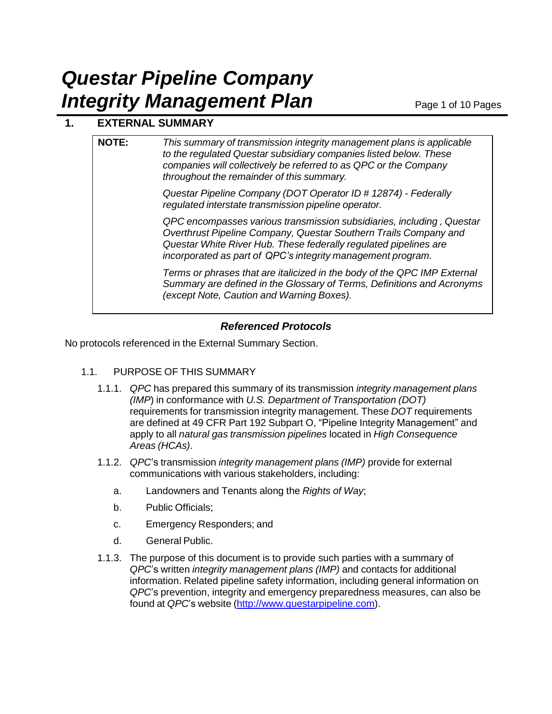# **1. EXTERNAL SUMMARY**

| <b>NOTE:</b> | This summary of transmission integrity management plans is applicable<br>to the regulated Questar subsidiary companies listed below. These<br>companies will collectively be referred to as QPC or the Company<br>throughout the remainder of this summary.                  |
|--------------|------------------------------------------------------------------------------------------------------------------------------------------------------------------------------------------------------------------------------------------------------------------------------|
|              | Questar Pipeline Company (DOT Operator ID # 12874) - Federally<br>regulated interstate transmission pipeline operator.                                                                                                                                                       |
|              | QPC encompasses various transmission subsidiaries, including, Questar<br>Overthrust Pipeline Company, Questar Southern Trails Company and<br>Questar White River Hub. These federally regulated pipelines are<br>incorporated as part of QPC's integrity management program. |
|              | Terms or phrases that are italicized in the body of the QPC IMP External<br>Summary are defined in the Glossary of Terms, Definitions and Acronyms<br>(except Note, Caution and Warning Boxes).                                                                              |
|              |                                                                                                                                                                                                                                                                              |

## *Referenced Protocols*

No protocols referenced in the External Summary Section.

## 1.1. PURPOSE OF THIS SUMMARY

- 1.1.1. *QPC* has prepared this summary of its transmission *integrity management plans (IMP*) in conformance with *U.S. Department of Transportation (DOT)* requirements for transmission integrity management. These *DOT* requirements are defined at 49 CFR Part 192 Subpart O, "Pipeline Integrity Management" and apply to all *natural gas transmission pipelines* located in *High Consequence Areas (HCAs)*.
- 1.1.2. *QPC*'s transmission *integrity management plans (IMP)* provide for external communications with various stakeholders, including:
	- a. Landowners and Tenants along the *Rights of Way*;
	- b. Public Officials;
	- c. Emergency Responders; and
	- d. General Public.
- 1.1.3. The purpose of this document is to provide such parties with a summary of *QPC*'s written *integrity management plans (IMP)* and contacts for additional information. Related pipeline safety information, including general information on *QPC*'s prevention, integrity and emergency preparedness measures, can also be found at *QPC*'s website (http://www.questarpipeline.com).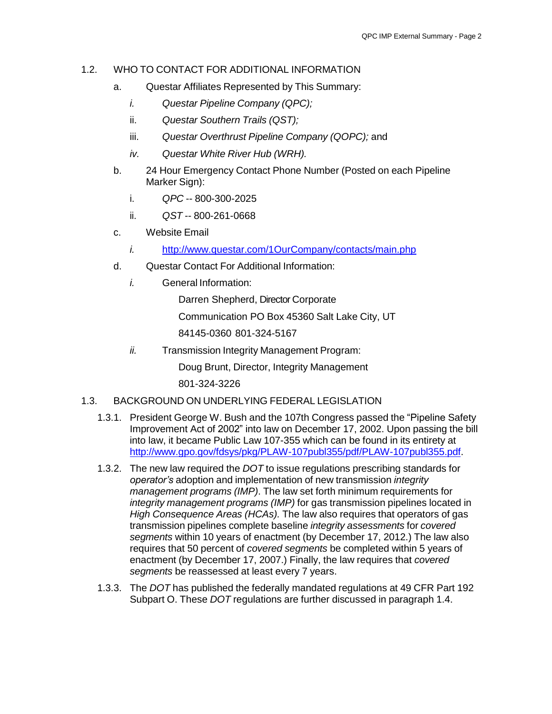### 1.2. WHO TO CONTACT FOR ADDITIONAL INFORMATION

- a. Questar Affiliates Represented by This Summary:
	- *i. Questar Pipeline Company (QPC);*
	- ii. *Questar Southern Trails (QST);*
	- iii. *Questar Overthrust Pipeline Company (QOPC);* and
	- *iv. Questar White River Hub (WRH).*
- b. 24 Hour Emergency Contact Phone Number (Posted on each Pipeline Marker Sign):
	- i. *QPC* -- 800-300-2025
	- ii. *QST* -- 800-261-0668
- c. Website Email
	- *i.* <http://www.questar.com/1OurCompany/contacts/main.php>
- d. Questar Contact For Additional Information:
	- *i.* General Information:

Darren Shepherd, Director Corporate

Communication PO Box 45360 Salt Lake City, UT

84145-0360 801-324-5167

*ii.* Transmission Integrity Management Program:

Doug Brunt, Director, Integrity Management

801-324-3226

## 1.3. BACKGROUND ON UNDERLYING FEDERAL LEGISLATION

- 1.3.1. President George W. Bush and the 107th Congress passed the "Pipeline Safety Improvement Act of 2002" into law on December 17, 2002. Upon passing the bill into law, it became Public Law 107-355 which can be found in its entirety at [http://www.gpo.gov/fdsys/pkg/PLAW-107publ355/pdf/PLAW-107publ355.pdf.](http://www.gpo.gov/fdsys/pkg/PLAW-107publ355/pdf/PLAW-107publ355.pdf)
- 1.3.2. The new law required the *DOT* to issue regulations prescribing standards for *operator's* adoption and implementation of new transmission *integrity management programs (IMP)*. The law set forth minimum requirements for *integrity management programs (IMP)* for gas transmission pipelines located in *High Consequence Areas (HCAs).* The law also requires that operators of gas transmission pipelines complete baseline *integrity assessments* for *covered segments* within 10 years of enactment (by December 17, 2012.) The law also requires that 50 percent of *covered segments* be completed within 5 years of enactment (by December 17, 2007.) Finally, the law requires that *covered segments* be reassessed at least every 7 years.
- 1.3.3. The *DOT* has published the federally mandated regulations at 49 CFR Part 192 Subpart O. These *DOT* regulations are further discussed in paragraph 1.4.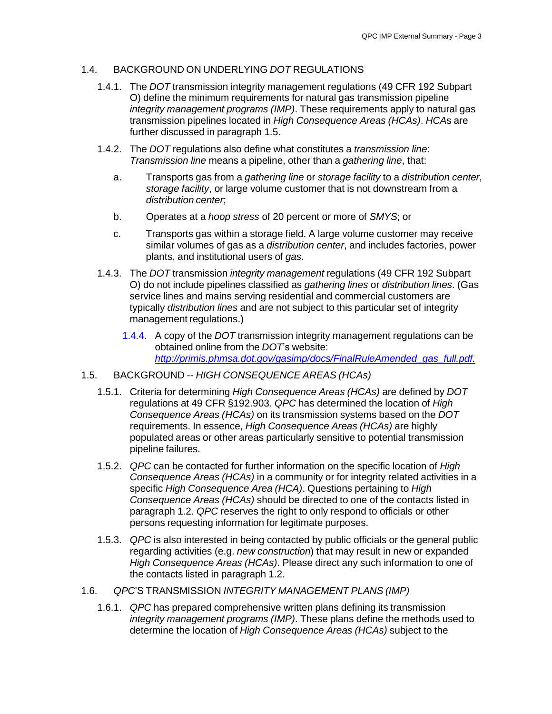### 1.4. BACKGROUND ON UNDERLYING *DOT* REGULATIONS

- 1.4.1. The *DOT* transmission integrity management regulations (49 CFR 192 Subpart O) define the minimum requirements for natural gas transmission pipeline *integrity management programs (IMP)*. These requirements apply to natural gas transmission pipelines located in *High Consequence Areas (HCAs)*. *HCA*s are further discussed in paragraph 1.5.
- 1.4.2. The *DOT* regulations also define what constitutes a *transmission line*: *Transmission line* means a pipeline, other than a *gathering line*, that:
	- a. Transports gas from a *gathering line* or *storage facility* to a *distribution center*, *storage facility*, or large volume customer that is not downstream from a *distribution center*;
	- b. Operates at a *hoop stress* of 20 percent or more of *SMYS*; or
	- c. Transports gas within a storage field. A large volume customer may receive similar volumes of gas as a *distribution center*, and includes factories, power plants, and institutional users of *gas*.
- 1.4.3. The *DOT* transmission *integrity management* regulations (49 CFR 192 Subpart O) do not include pipelines classified as *gathering lines* or *distribution lines*. (Gas service lines and mains serving residential and commercial customers are typically *distribution lines* and are not subject to this particular set of integrity management regulations.)
	- 1.4.4. A copy of the *DOT* transmission integrity management regulations can be obtained online from the *DOT*'s website: *[http://primis.phmsa.dot.gov/gasimp/docs/FinalRuleAmended\\_gas\\_full.pdf.](http://primis.phmsa.dot.gov/gasimp/docs/FinalRuleAmended_gas_full.pdf)*
- 1.5. BACKGROUND -- *HIGH CONSEQUENCE AREAS (HCAs)*
	- 1.5.1. Criteria for determining *High Consequence Areas (HCAs)* are defined by *DOT* regulations at 49 CFR §192.903. *QPC* has determined the location of *High Consequence Areas (HCAs)* on its transmission systems based on the *DOT* requirements. In essence, *High Consequence Areas (HCAs)* are highly populated areas or other areas particularly sensitive to potential transmission pipeline failures.
	- 1.5.2. *QPC* can be contacted for further information on the specific location of *High Consequence Areas (HCAs)* in a community or for integrity related activities in a specific *High Consequence Area (HCA)*. Questions pertaining to *High Consequence Areas (HCAs)* should be directed to one of the contacts listed in paragraph 1.2. *QPC* reserves the right to only respond to officials or other persons requesting information for legitimate purposes.
	- 1.5.3. *QPC* is also interested in being contacted by public officials or the general public regarding activities (e.g. *new construction*) that may result in new or expanded *High Consequence Areas (HCAs)*. Please direct any such information to one of the contacts listed in paragraph 1.2.
- 1.6. *QPC*'S TRANSMISSION *INTEGRITY MANAGEMENT PLANS (IMP)*
	- 1.6.1. *QPC* has prepared comprehensive written plans defining its transmission *integrity management programs (IMP)*. These plans define the methods used to determine the location of *High Consequence Areas (HCAs)* subject to the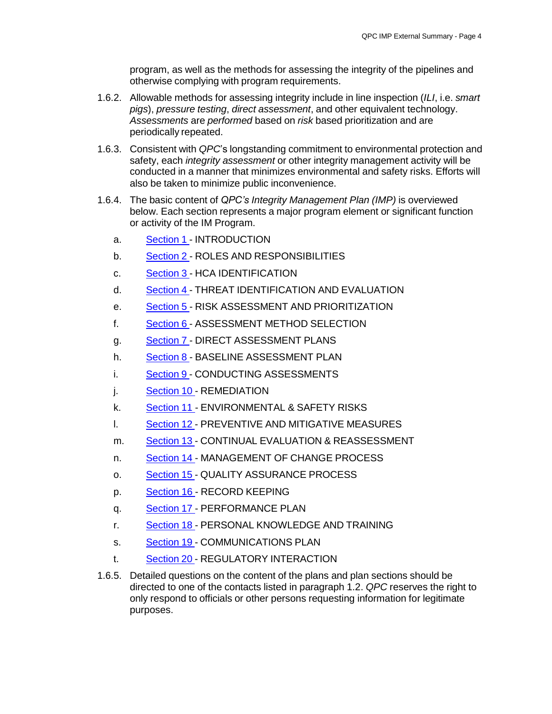program, as well as the methods for assessing the integrity of the pipelines and otherwise complying with program requirements.

- 1.6.2. Allowable methods for assessing integrity include in line inspection (*ILI*, i.e. *smart pigs*), *pressure testing*, *direct assessment*, and other equivalent technology. *Assessments* are *performed* based on *risk* based prioritization and are periodically repeated.
- 1.6.3. Consistent with *QPC*'s longstanding commitment to environmental protection and safety, each *integrity assessment* or other integrity management activity will be conducted in a manner that minimizes environmental and safety risks. Efforts will also be taken to minimize public inconvenience.
- 1.6.4. The basic content of *QPC's Integrity Management Plan (IMP)* is overviewed below. Each section represents a major program element or significant function or activity of the IM Program.
	- a. Section 1 INTRODUCTION
	- b. Section 2 ROLES AND RESPONSIBILITIES
	- c. Section 3 HCA IDENTIFICATION
	- d. Section 4 THREAT IDENTIFICATION AND EVALUATION
	- e. Section 5 RISK ASSESSMENT AND PRIORITIZATION
	- f. Section 6 ASSESSMENT METHOD SELECTION
	- g. Section 7 DIRECT ASSESSMENT PLANS
	- h. Section 8 BASELINE ASSESSMENT PLAN
	- i. Section 9 CONDUCTING ASSESSMENTS
	- j. Section 10 REMEDIATION
	- k. Section 11 ENVIRONMENTAL & SAFETY RISKS
	- l. Section 12 PREVENTIVE AND MITIGATIVE MEASURES
	- m. Section 13 CONTINUAL EVALUATION & REASSESSMENT
	- n. Section 14 MANAGEMENT OF CHANGE PROCESS
	- o. Section 15 QUALITY ASSURANCE PROCESS
	- p. Section 16 RECORD KEEPING
	- q. Section 17 PERFORMANCE PLAN
	- r. Section 18 PERSONAL KNOWLEDGE AND TRAINING
	- s. Section 19 COMMUNICATIONS PLAN
	- t. Section 20 REGULATORY INTERACTION
- 1.6.5. Detailed questions on the content of the plans and plan sections should be directed to one of the contacts listed in paragraph 1.2. *QPC* reserves the right to only respond to officials or other persons requesting information for legitimate purposes.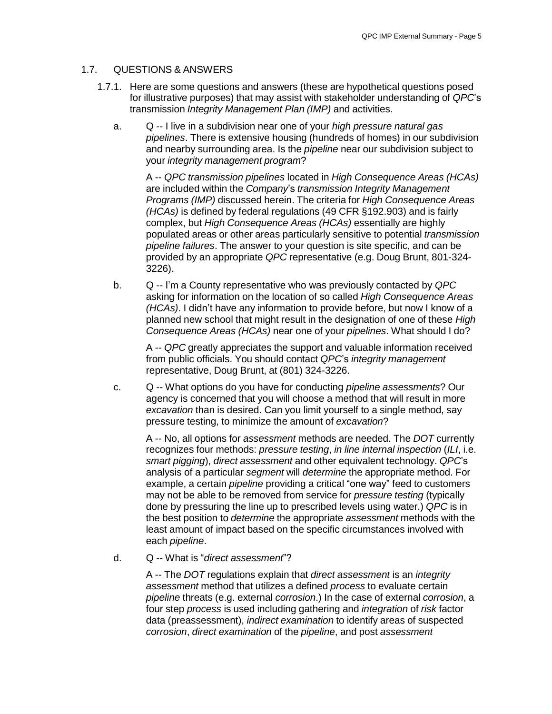#### 1.7. QUESTIONS & ANSWERS

- 1.7.1. Here are some questions and answers (these are hypothetical questions posed for illustrative purposes) that may assist with stakeholder understanding of *QPC*'s transmission *Integrity Management Plan (IMP)* and activities.
	- a. Q -- I live in a subdivision near one of your *high pressure natural gas pipelines*. There is extensive housing (hundreds of homes) in our subdivision and nearby surrounding area. Is the *pipeline* near our subdivision subject to your *integrity management program*?

A -- *QPC transmission pipelines* located in *High Consequence Areas (HCAs)* are included within the *Company*'s *transmission Integrity Management Programs (IMP)* discussed herein. The criteria for *High Consequence Areas (HCAs)* is defined by federal regulations (49 CFR §192.903) and is fairly complex, but *High Consequence Areas (HCAs)* essentially are highly populated areas or other areas particularly sensitive to potential *transmission pipeline failures*. The answer to your question is site specific, and can be provided by an appropriate *QPC* representative (e.g. Doug Brunt, 801-324- 3226).

b. Q -- I'm a County representative who was previously contacted by *QPC* asking for information on the location of so called *High Consequence Areas (HCAs)*. I didn't have any information to provide before, but now I know of a planned new school that might result in the designation of one of these *High Consequence Areas (HCAs)* near one of your *pipelines*. What should I do?

A -- *QPC* greatly appreciates the support and valuable information received from public officials. You should contact *QPC*'s *integrity management* representative, Doug Brunt, at (801) 324-3226.

c. Q -- What options do you have for conducting *pipeline assessments*? Our agency is concerned that you will choose a method that will result in more *excavation* than is desired. Can you limit yourself to a single method, say pressure testing, to minimize the amount of *excavation*?

A -- No, all options for *assessment* methods are needed. The *DOT* currently recognizes four methods: *pressure testing*, *in line internal inspection* (*ILI*, i.e. *smart pigging*), *direct assessment* and other equivalent technology. *QPC*'s analysis of a particular *segment* will *determine* the appropriate method. For example, a certain *pipeline* providing a critical "one way" feed to customers may not be able to be removed from service for *pressure testing* (typically done by pressuring the line up to prescribed levels using water.) *QPC* is in the best position to *determine* the appropriate *assessment* methods with the least amount of impact based on the specific circumstances involved with each *pipeline*.

d. Q -- What is "*direct assessment*"?

A -- The *DOT* regulations explain that *direct assessment* is an *integrity assessment* method that utilizes a defined *process* to evaluate certain *pipeline* threats (e.g. external *corrosion*.) In the case of external *corrosion*, a four step *process* is used including gathering and *integration* of *risk* factor data (preassessment), *indirect examination* to identify areas of suspected *corrosion*, *direct examination* of the *pipeline*, and post *assessment*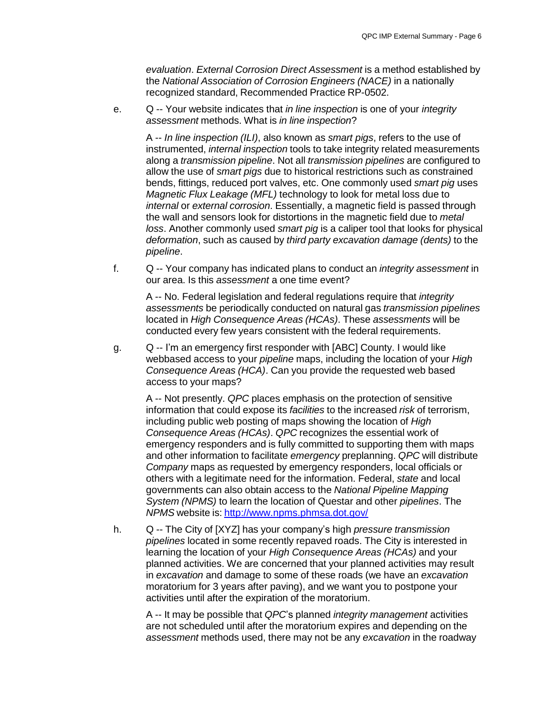*evaluation*. *External Corrosion Direct Assessment* is a method established by the *National Association of Corrosion Engineers (NACE)* in a nationally recognized standard, Recommended Practice RP-0502.

e. Q -- Your website indicates that *in line inspection* is one of your *integrity assessment* methods. What is *in line inspection*?

A -- *In line inspection (ILI)*, also known as *smart pigs*, refers to the use of instrumented, *internal inspection* tools to take integrity related measurements along a *transmission pipeline*. Not all *transmission pipelines* are configured to allow the use of *smart pigs* due to historical restrictions such as constrained bends, fittings, reduced port valves, etc. One commonly used *smart pig* uses *Magnetic Flux Leakage (MFL)* technology to look for metal loss due to *internal* or *external corrosion*. Essentially, a magnetic field is passed through the wall and sensors look for distortions in the magnetic field due to *metal loss*. Another commonly used *smart pig* is a caliper tool that looks for physical *deformation*, such as caused by *third party excavation damage (dents)* to the *pipeline*.

f. Q -- Your company has indicated plans to conduct an *integrity assessment* in our area. Is this *assessment* a one time event?

A -- No. Federal legislation and federal regulations require that *integrity assessments* be periodically conducted on natural gas *transmission pipelines* located in *High Consequence Areas (HCAs)*. These *assessments* will be conducted every few years consistent with the federal requirements.

g. Q -- I'm an emergency first responder with [ABC] County. I would like webbased access to your *pipeline* maps, including the location of your *High Consequence Areas (HCA)*. Can you provide the requested web based access to your maps?

A -- Not presently. *QPC* places emphasis on the protection of sensitive information that could expose its *facilities* to the increased *risk* of terrorism, including public web posting of maps showing the location of *High Consequence Areas (HCAs)*. *QPC* recognizes the essential work of emergency responders and is fully committed to supporting them with maps and other information to facilitate *emergency* preplanning. *QPC* will distribute *Company* maps as requested by emergency responders, local officials or others with a legitimate need for the information. Federal, *state* and local governments can also obtain access to the *National Pipeline Mapping System (NPMS)* to learn the location of Questar and other *pipelines*. The *NPMS* website is: <http://www.npms.phmsa.dot.gov/>

h. Q -- The City of [XYZ] has your company's high *pressure transmission pipelines* located in some recently repaved roads. The City is interested in learning the location of your *High Consequence Areas (HCAs)* and your planned activities. We are concerned that your planned activities may result in *excavation* and damage to some of these roads (we have an *excavation* moratorium for 3 years after paving), and we want you to postpone your activities until after the expiration of the moratorium.

A -- It may be possible that *QPC*'s planned *integrity management* activities are not scheduled until after the moratorium expires and depending on the *assessment* methods used, there may not be any *excavation* in the roadway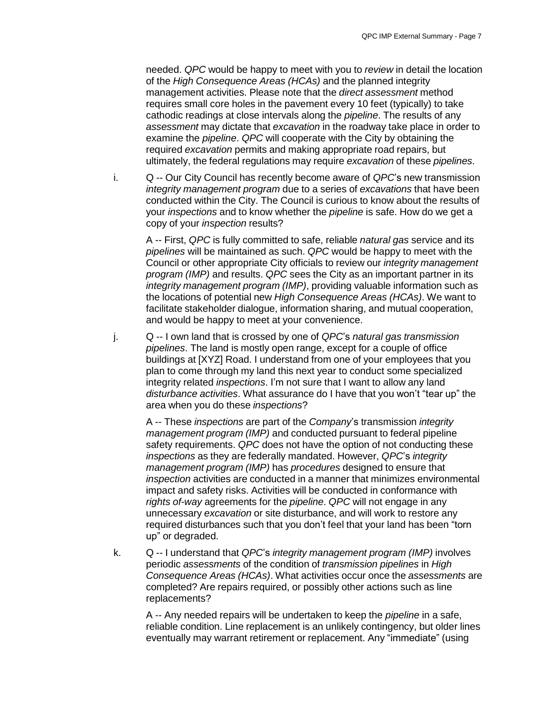needed. *QPC* would be happy to meet with you to *review* in detail the location of the *High Consequence Areas (HCAs)* and the planned integrity management activities. Please note that the *direct assessment* method requires small core holes in the pavement every 10 feet (typically) to take cathodic readings at close intervals along the *pipeline*. The results of any *assessment* may dictate that *excavation* in the roadway take place in order to examine the *pipeline*. *QPC* will cooperate with the City by obtaining the required *excavation* permits and making appropriate road repairs, but ultimately, the federal regulations may require *excavation* of these *pipelines*.

i. Q -- Our City Council has recently become aware of *QPC*'s new transmission *integrity management program* due to a series of *excavations* that have been conducted within the City. The Council is curious to know about the results of your *inspections* and to know whether the *pipeline* is safe. How do we get a copy of your *inspection* results?

A -- First, *QPC* is fully committed to safe, reliable *natural gas* service and its *pipelines* will be maintained as such. *QPC* would be happy to meet with the Council or other appropriate City officials to review our *integrity management program (IMP)* and results. *QPC* sees the City as an important partner in its *integrity management program (IMP)*, providing valuable information such as the locations of potential new *High Consequence Areas (HCAs)*. We want to facilitate stakeholder dialogue, information sharing, and mutual cooperation, and would be happy to meet at your convenience.

j. Q -- I own land that is crossed by one of *QPC*'s *natural gas transmission pipelines*. The land is mostly open range, except for a couple of office buildings at [XYZ] Road. I understand from one of your employees that you plan to come through my land this next year to conduct some specialized integrity related *inspections*. I'm not sure that I want to allow any land *disturbance activities*. What assurance do I have that you won't "tear up" the area when you do these *inspections*?

A -- These *inspections* are part of the *Company*'s transmission *integrity management program (IMP)* and conducted pursuant to federal pipeline safety requirements. *QPC* does not have the option of not conducting these *inspections* as they are federally mandated. However, *QPC*'s *integrity management program (IMP)* has *procedures* designed to ensure that *inspection* activities are conducted in a manner that minimizes environmental impact and safety risks. Activities will be conducted in conformance with *rights of-way* agreements for the *pipeline*. *QPC* will not engage in any unnecessary *excavation* or site disturbance, and will work to restore any required disturbances such that you don't feel that your land has been "torn up" or degraded.

k. Q -- I understand that *QPC*'s *integrity management program (IMP)* involves periodic *assessments* of the condition of *transmission pipelines* in *High Consequence Areas (HCAs)*. What activities occur once the *assessments* are completed? Are repairs required, or possibly other actions such as line replacements?

A -- Any needed repairs will be undertaken to keep the *pipeline* in a safe, reliable condition. Line replacement is an unlikely contingency, but older lines eventually may warrant retirement or replacement. Any "immediate" (using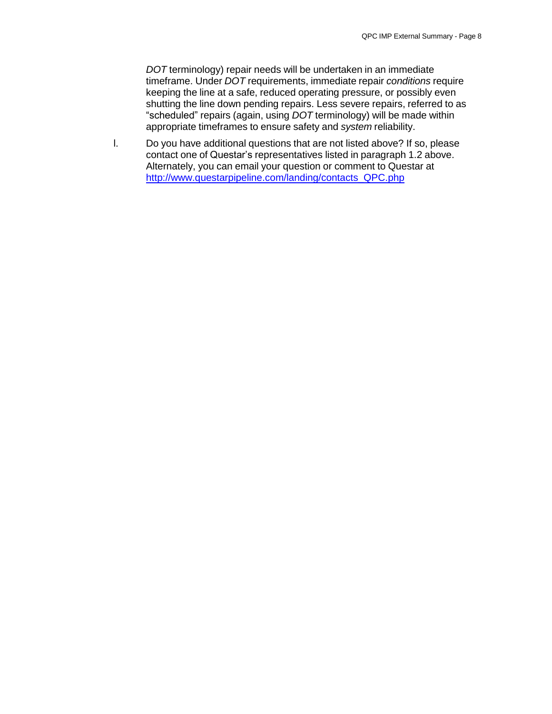*DOT* terminology) repair needs will be undertaken in an immediate timeframe. Under *DOT* requirements, immediate repair *conditions* require keeping the line at a safe, reduced operating pressure, or possibly even shutting the line down pending repairs. Less severe repairs, referred to as "scheduled" repairs (again, using *DOT* terminology) will be made within appropriate timeframes to ensure safety and *system* reliability.

l. Do you have additional questions that are not listed above? If so, please contact one of Questar's representatives listed in paragraph 1.2 above. Alternately, you can email your question or comment to Questar at [http://www.questarpipeline.com/landing/contacts\\_QPC.php](http://www.questarpipeline.com/landing/contacts_QPC.php)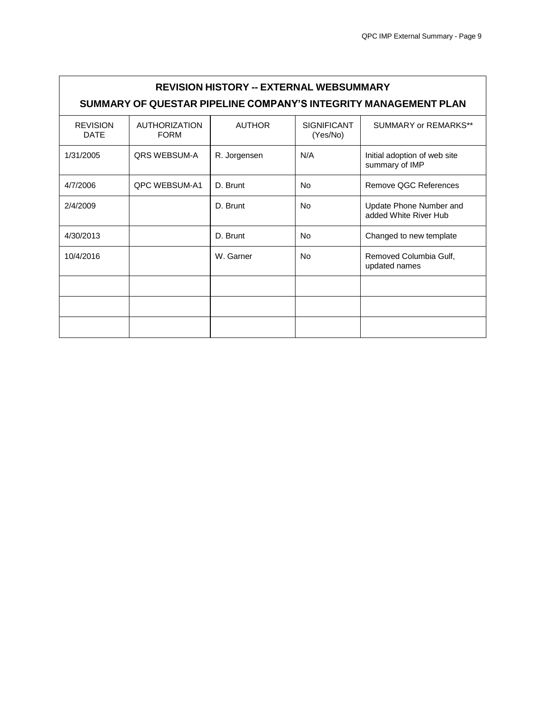| <b>REVISION HISTORY -- EXTERNAL WEBSUMMARY</b><br>SUMMARY OF QUESTAR PIPELINE COMPANY'S INTEGRITY MANAGEMENT PLAN |                                     |               |                                |                                                  |  |  |  |  |
|-------------------------------------------------------------------------------------------------------------------|-------------------------------------|---------------|--------------------------------|--------------------------------------------------|--|--|--|--|
| <b>REVISION</b><br><b>DATE</b>                                                                                    | <b>AUTHORIZATION</b><br><b>FORM</b> | <b>AUTHOR</b> | <b>SIGNIFICANT</b><br>(Yes/No) | SUMMARY or REMARKS**                             |  |  |  |  |
| 1/31/2005                                                                                                         | QRS WEBSUM-A                        | R. Jorgensen  | N/A                            | Initial adoption of web site<br>summary of IMP   |  |  |  |  |
| 4/7/2006                                                                                                          | <b>OPC WEBSUM-A1</b>                | D. Brunt      | <b>No</b>                      | Remove QGC References                            |  |  |  |  |
| 2/4/2009                                                                                                          |                                     | D. Brunt      | No                             | Update Phone Number and<br>added White River Hub |  |  |  |  |
| 4/30/2013                                                                                                         |                                     | D. Brunt      | <b>No</b>                      | Changed to new template                          |  |  |  |  |
| 10/4/2016                                                                                                         |                                     | W. Garner     | No                             | Removed Columbia Gulf,<br>updated names          |  |  |  |  |
|                                                                                                                   |                                     |               |                                |                                                  |  |  |  |  |
|                                                                                                                   |                                     |               |                                |                                                  |  |  |  |  |
|                                                                                                                   |                                     |               |                                |                                                  |  |  |  |  |